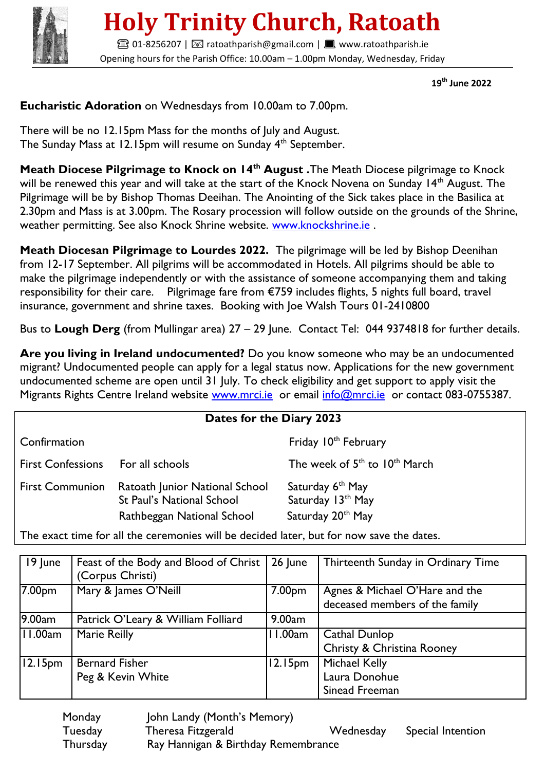

## **Holy Trinity Church, Ratoath**

**■01-8256207 | ⊠ ratoathparish@gmail.com | ■ www.ratoathparish.ie** Opening hours for the Parish Office: 10.00am – 1.00pm Monday, Wednesday, Friday

 **19th June 2022**

## **Eucharistic Adoration** on Wednesdays from 10.00am to 7.00pm.

There will be no 12.15pm Mass for the months of July and August. The Sunday Mass at 12.15pm will resume on Sunday 4<sup>th</sup> September.

**Meath Diocese Pilgrimage to Knock on 14th August .**The Meath Diocese pilgrimage to Knock will be renewed this year and will take at the start of the Knock Novena on Sunday 14<sup>th</sup> August. The Pilgrimage will be by Bishop Thomas Deeihan. The Anointing of the Sick takes place in the Basilica at 2.30pm and Mass is at 3.00pm. The Rosary procession will follow outside on the grounds of the Shrine, weather permitting. See also Knock Shrine website. [www.knockshrine.ie](http://www.knockshrine.ie/).

**Meath Diocesan Pilgrimage to Lourdes 2022.** The pilgrimage will be led by Bishop Deenihan from 12-17 September. All pilgrims will be accommodated in Hotels. All pilgrims should be able to make the pilgrimage independently or with the assistance of someone accompanying them and taking responsibility for their care. Pilgrimage fare from €759 includes flights, 5 nights full board, travel insurance, government and shrine taxes. Booking with Joe Walsh Tours 01-2410800

Bus to **Lough Derg** (from Mullingar area) 27 – 29 June. Contact Tel: 044 9374818 for further details.

**Are you living in Ireland undocumented?** Do you know someone who may be an undocumented migrant? Undocumented people can apply for a legal status now. Applications for the new government undocumented scheme are open until 31 July. To check eligibility and get support to apply visit the Migrants Rights Centre Ireland website www.mrci.je or email info@mrci.je or contact 083-0755387.

| Dates for the Diary 2023 |                                                                                                  |                                                                        |  |  |  |
|--------------------------|--------------------------------------------------------------------------------------------------|------------------------------------------------------------------------|--|--|--|
| Confirmation             |                                                                                                  | Friday 10 <sup>th</sup> February                                       |  |  |  |
| <b>First Confessions</b> | For all schools                                                                                  | The week of $5th$ to $10th$ March                                      |  |  |  |
| <b>First Communion</b>   | Ratoath Junior National School<br><b>St Paul's National School</b><br>Rathbeggan National School | Saturday 6 <sup>th</sup> May<br>Saturday 13th May<br>Saturday 20th May |  |  |  |

The exact time for all the ceremonies will be decided later, but for now save the dates.

| 19 June             | Feast of the Body and Blood of Christ<br>(Corpus Christi) | $\vert$ 26 June | Thirteenth Sunday in Ordinary Time                               |
|---------------------|-----------------------------------------------------------|-----------------|------------------------------------------------------------------|
| 7.00pm              | Mary & James O'Neill                                      | 7.00pm          | Agnes & Michael O'Hare and the<br>deceased members of the family |
| 9.00am              | Patrick O'Leary & William Folliard                        | 9.00am          |                                                                  |
| 11.00am             | <b>Marie Reilly</b>                                       | 11.00am         | Cathal Dunlop<br>Christy & Christina Rooney                      |
| 12.15 <sub>pm</sub> | <b>Bernard Fisher</b><br>Peg & Kevin White                | $ 12.15$ pm     | <b>Michael Kelly</b><br>Laura Donohue<br>Sinead Freeman          |

| Monday   | John Landy (Month's Memory)         |           |                   |
|----------|-------------------------------------|-----------|-------------------|
| Tuesday  | Theresa Fitzgerald                  | Wednesday | Special Intention |
| Thursday | Ray Hannigan & Birthday Remembrance |           |                   |